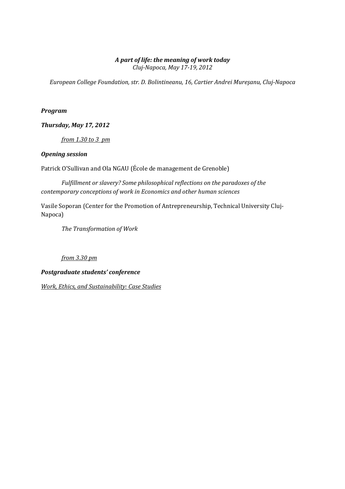# A part of life: the meaning of work today

Cluj-Napoca, May 17-19, 2012

European College Foundation, str. D. Bolintineanu, 16, Cartier Andrei Mureşanu, Cluj-Napoca

## Program

Thursday, May 17, 2012

from 1.30 to 3 pm

## Opening session

Patrick O'Sullivan and Ola NGAU (École de management de Grenoble)

 Fulfillment or slavery? Some philosophical reflections on the paradoxes of the contemporary conceptions of work in Economics and other human sciences

Vasile Soporan (Center for the Promotion of Antrepreneurship, Technical University Cluj-Napoca)

The Transformation of Work

# from 3.30 pm

# Postgraduate students' conference

Work, Ethics, and Sustainability: Case Studies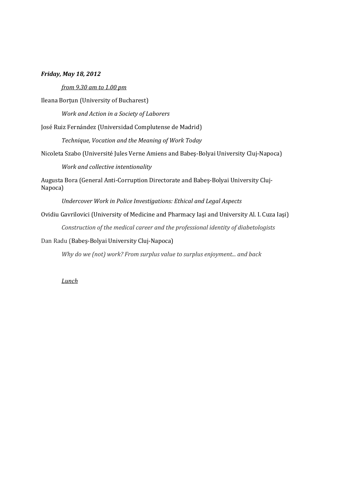#### Friday, May 18, 2012

#### from 9.30 am to 1.00 pm

Ileana Borţun (University of Bucharest)

Work and Action in a Society of Laborers

José Ruiz Fernández (Universidad Complutense de Madrid)

Technique, Vocation and the Meaning of Work Today

Nicoleta Szabo (Université Jules Verne Amiens and Babeş-Bolyai University Cluj-Napoca)

Work and collective intentionality

Augusta Bora (General Anti-Corruption Directorate and Babeş-Bolyai University Cluj-Napoca)

Undercover Work in Police Investigations: Ethical and Legal Aspects

Ovidiu Gavrilovici (University of Medicine and Pharmacy Iaşi and University Al. I. Cuza Iaşi)

Construction of the medical career and the professional identity of diabetologists

Dan Radu (Babeş-Bolyai University Cluj-Napoca)

Why do we (not) work? From surplus value to surplus enjoyment... and back

#### **Lunch**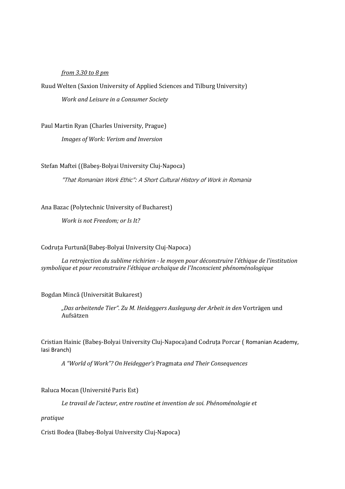## from 3.30 to 8 pm

Ruud Welten (Saxion University of Applied Sciences and Tilburg University)

Work and Leisure in a Consumer Society

Paul Martin Ryan (Charles University, Prague)

Images of Work: Verism and Inversion

Stefan Maftei ((Babeş-Bolyai University Cluj-Napoca)

"That Romanian Work Ethic": A Short Cultural History of Work in Romania

Ana Bazac (Polytechnic University of Bucharest)

Work is not Freedom; or Is It?

#### Codruţa Furtună(Babeş-Bolyai University Cluj-Napoca)

La retrojection du sublime richirien - le moyen pour déconstruire l'éthique de l'institution symbolique et pour reconstruire l'éthique archaïque de l'Inconscient phénoménologique

#### Bogdan Mincă (Universität Bukarest)

"Das arbeitende Tier". Zu M. Heideggers Auslegung der Arbeit in den Vorträgen und Aufsätzen

Cristian Hainic (Babeş-Bolyai University Cluj-Napoca)and Codruţa Porcar ( Romanian Academy, Iasi Branch)

A "World of Work"? On Heidegger's Pragmata and Their Consequences

Raluca Mocan (Université Paris Est)

Le travail de l'acteur, entre routine et invention de soi. Phénoménologie et

pratique

Cristi Bodea (Babeş-Bolyai University Cluj-Napoca)